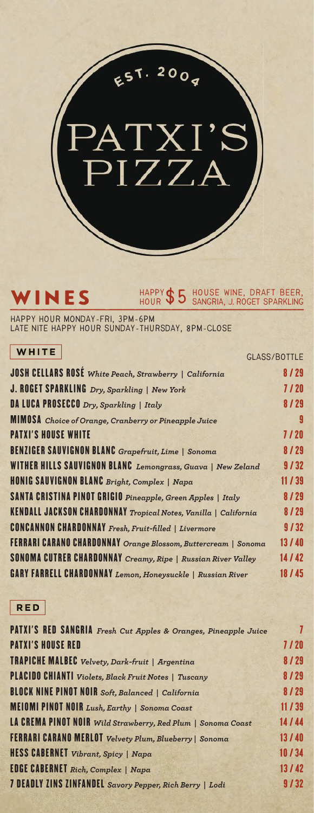

#### WINES HAPPY \$5<sup>HOUSE</sup> WINE, DRAFT BEER, **HAPPY HOUR \$5**

**Happy Hour Monday-Fri, 3pm-6pm Late Nite Happy Hour Sunday-Thursday, 8pm-Close**

| WHITE                                                           |                     |
|-----------------------------------------------------------------|---------------------|
|                                                                 | <b>GLASS/BOTTLE</b> |
| <b>JOSH CELLARS ROSE</b> White Peach, Strawberry   California   | 8/29                |
| J. ROGET SPARKLING Dry, Sparkling   New York                    | 7/20                |
| <b>DA LUCA PROSECCO</b> Dry, Sparkling   Italy                  | 8/29                |
| <b>MIMOSA</b> Choice of Orange, Cranberry or Pineapple Juice    |                     |
| <b>PATXI'S HOUSE WHITE</b>                                      | 7/20                |
| <b>BENZIGER SAUVIGNON BLANC</b> Grapefruit, Lime   Sonoma       | 8/29                |
| WITHER HILLS SAUVIGNON BLANC Lemongrass, Guava   New Zeland     | 9/32                |
| HONIG SAUVIGNON BLANC Bright, Complex   Napa                    | 11/39               |
| SANTA CRISTINA PINOT GRIGIO Pineapple, Green Apples   Italy     | 8/29                |
| KENDALL JACKSON CHARDONNAY Tropical Notes, Vanilla   California | 8/29                |
| <b>CONCANNON CHARDONNAY</b> Fresh, Fruit-filled   Livermore     | 9/32                |
| FERRARI CARANO CHARDONNAY Orange Blossom, Buttercream   Sonoma  | 13 / 40             |
| SONOMA CUTRER CHARDONNAY Creamy, Ripe   Russian River Valley    | 14/42               |
| GARY FARRELL CHARDONNAY Lemon, Honeysuckle   Russian River      | 18/45               |

### **RED**

| PATXI'S RED SANGRIA Fresh Cut Apples & Oranges, Pineapple Juice | 7     |
|-----------------------------------------------------------------|-------|
| <b>PATXI'S HOUSE RED</b>                                        | 7/20  |
| <b>TRAPICHE MALBEC</b> Velvety, Dark-fruit   Argentina          | 8/29  |
| <b>PLACIDO CHIANTI</b> Violets, Black Fruit Notes   Tuscany     | 8/29  |
| <b>BLOCK NINE PINOT NOIR</b> Soft, Balanced   California        | 8/29  |
| <b>MEIOMI PINOT NOIR</b> Lush, Earthy   Sonoma Coast            | 11/39 |
| LA CREMA PINOT NOIR Wild Strawberry, Red Plum   Sonoma Coast    | 14/44 |
| FERRARI CARANO MERLOT Velvety Plum, Blueberry   Sonoma          | 13/40 |
| HESS CABERNET Vibrant, Spicy   Napa                             | 10/34 |
| <b>EDGE CABERNET</b> Rich, Complex   Napa                       | 13/42 |
| 7 DEADLY ZINS ZINFANDEL Savory Pepper, Rich Berry   Lodi        | 9/32  |